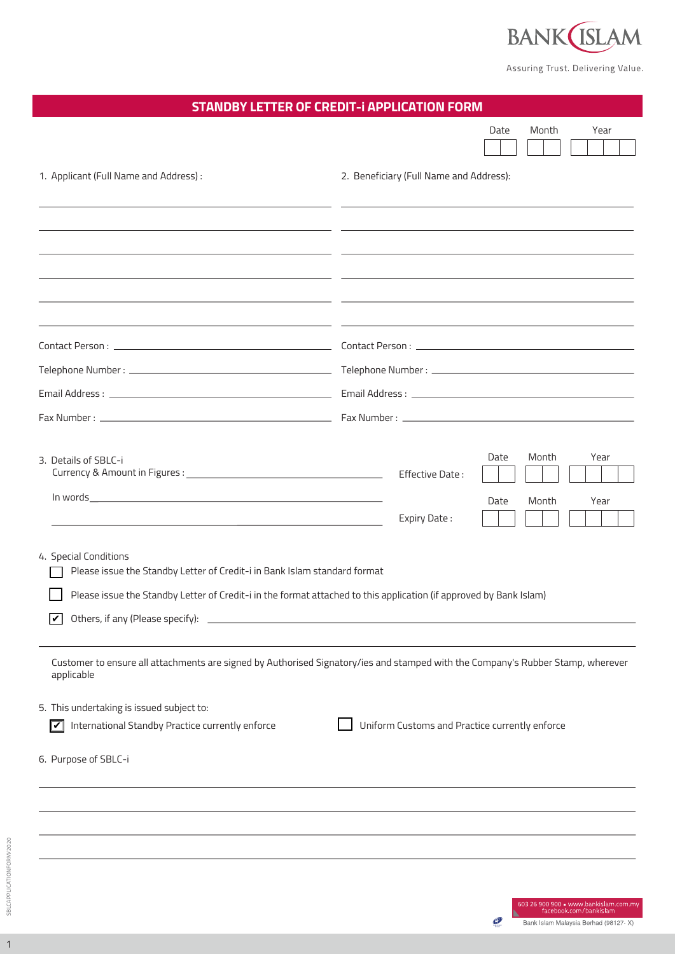

Assuring Trust. Delivering Value.

Þ  $\bullet$ 

Bank Islam Malaysia Berhad (98127-X)

| <b>STANDBY LETTER OF CREDIT-I APPLICATION FORM</b>                                                                              |                                                                                                                       |
|---------------------------------------------------------------------------------------------------------------------------------|-----------------------------------------------------------------------------------------------------------------------|
|                                                                                                                                 | Month<br>Date<br>Year                                                                                                 |
|                                                                                                                                 |                                                                                                                       |
| 1. Applicant (Full Name and Address) :                                                                                          | 2. Beneficiary (Full Name and Address):                                                                               |
|                                                                                                                                 |                                                                                                                       |
|                                                                                                                                 |                                                                                                                       |
|                                                                                                                                 | <u> 1989 - Andrea Andrew Maria (h. 1989).</u><br>1905 - Andrew Maria (h. 1906).                                       |
|                                                                                                                                 | <u> 1990 - Jan James James Sandarík (f. 1980)</u>                                                                     |
|                                                                                                                                 | <u> 1989 - Andrea Santana, amerikana politika (h. 1989).</u>                                                          |
|                                                                                                                                 | <u> 2000 - Andrea Andrea Andrea Andrea Andrea Andrea Andrea Andrea Andrea Andrea Andrea Andrea Andrea Andrea Andr</u> |
|                                                                                                                                 |                                                                                                                       |
|                                                                                                                                 |                                                                                                                       |
|                                                                                                                                 |                                                                                                                       |
|                                                                                                                                 | Month<br>Date<br>Year                                                                                                 |
| 3. Details of SBLC-i                                                                                                            | Effective Date:                                                                                                       |
|                                                                                                                                 | Year<br>Date<br>Month                                                                                                 |
| <u> 1980 - Jan Sterling von de Barbara († 1900)</u>                                                                             | Expiry Date:                                                                                                          |
| 4. Special Conditions                                                                                                           |                                                                                                                       |
| Please issue the Standby Letter of Credit-i in Bank Islam standard format                                                       |                                                                                                                       |
| Please issue the Standby Letter of Credit-i in the format attached to this application (if approved by Bank Islam)              |                                                                                                                       |
| Others, if any (Please specify):<br>V                                                                                           |                                                                                                                       |
| Customer to ensure all attachments are signed by Authorised Signatory/ies and stamped with the Company's Rubber Stamp, wherever |                                                                                                                       |
| applicable                                                                                                                      |                                                                                                                       |
| 5. This undertaking is issued subject to:                                                                                       |                                                                                                                       |
| International Standby Practice currently enforce<br>$ \mathbf{v} $                                                              | Uniform Customs and Practice currently enforce                                                                        |
| 6. Purpose of SBLC-i                                                                                                            |                                                                                                                       |
|                                                                                                                                 |                                                                                                                       |
|                                                                                                                                 |                                                                                                                       |
|                                                                                                                                 |                                                                                                                       |
|                                                                                                                                 |                                                                                                                       |
|                                                                                                                                 |                                                                                                                       |
|                                                                                                                                 | 603 26 900 900 · www.bankislam.com.my<br>facebook.com/bankislam                                                       |

1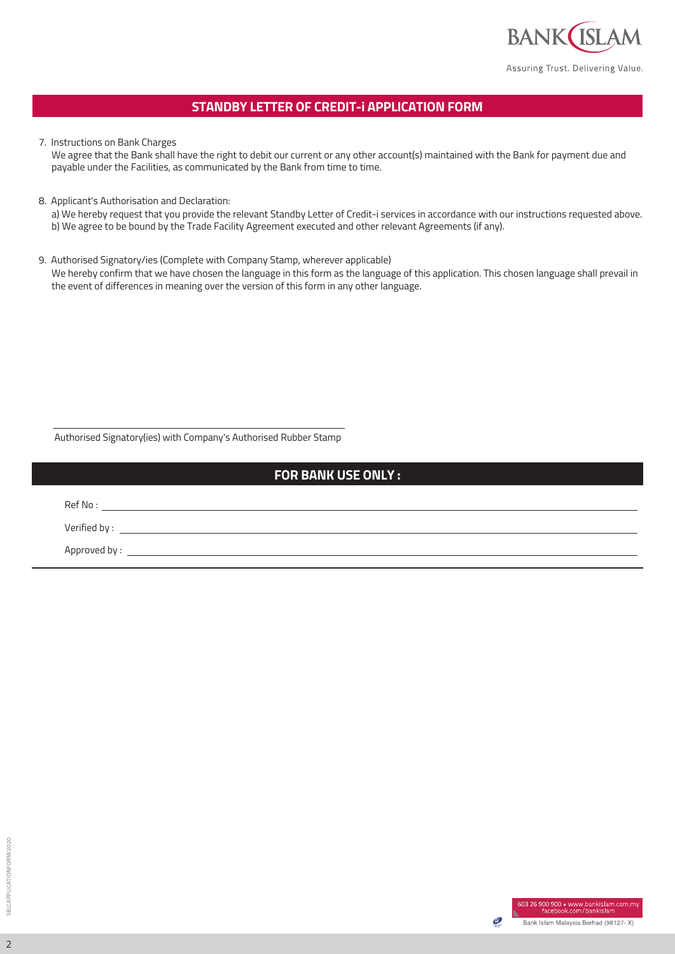

## **STANDBY LETTER OF CREDIT-i APPLICATION FORM**

7. Instructions on Bank Charges

We agree that the Bank shall have the right to debit our current or any other account(s) maintained with the Bank for payment due and payable under the Facilities, as communicated by the Bank from time to time.

8. Applicant's Authorisation and Declaration:

a) We hereby request that you provide the relevant Standby Letter of Credit-i services in accordance with our instructions requested above. b) We agree to be bound by the Trade Facility Agreement executed and other relevant Agreements (if any).

9. Authorised Signatory/ies (Complete with Company Stamp, wherever applicable) We hereby confirm that we have chosen the language in this form as the language of this application. This chosen language shall prevail in the event of differences in meaning over the version of this form in any other language.

Authorised Signatory(ies) with Company's Authorised Rubber Stamp

## **FOR BANK USE ONLY :**

Ref No : Verified by : Approved by : \_\_

2